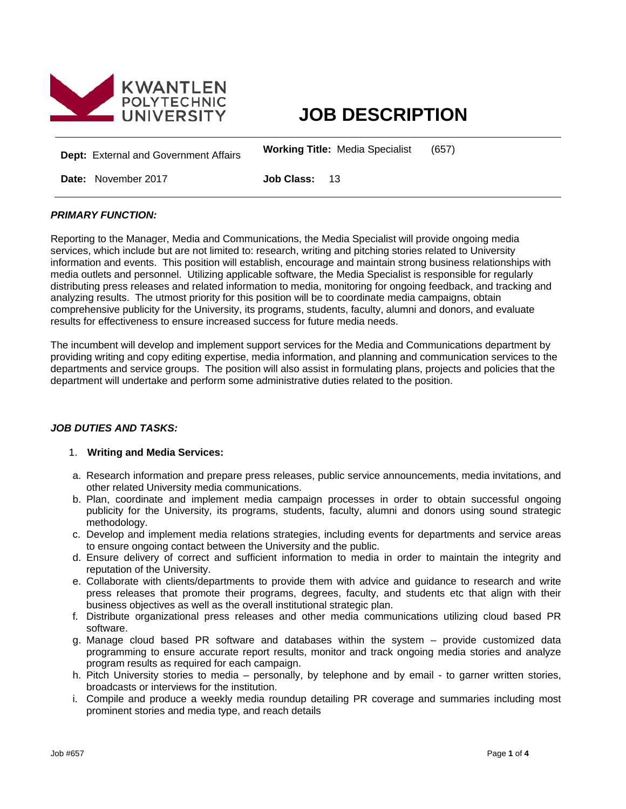

# **JOB DESCRIPTION**

**Dept:** External and Government Affairs **Working Title:** Media Specialist (657)

**Date:** November 2017 **Job Class:** 13

# *PRIMARY FUNCTION:*

Reporting to the Manager, Media and Communications, the Media Specialist will provide ongoing media services, which include but are not limited to: research, writing and pitching stories related to University information and events. This position will establish, encourage and maintain strong business relationships with media outlets and personnel. Utilizing applicable software, the Media Specialist is responsible for regularly distributing press releases and related information to media, monitoring for ongoing feedback, and tracking and analyzing results. The utmost priority for this position will be to coordinate media campaigns, obtain comprehensive publicity for the University, its programs, students, faculty, alumni and donors, and evaluate results for effectiveness to ensure increased success for future media needs.

The incumbent will develop and implement support services for the Media and Communications department by providing writing and copy editing expertise, media information, and planning and communication services to the departments and service groups. The position will also assist in formulating plans, projects and policies that the department will undertake and perform some administrative duties related to the position.

# *JOB DUTIES AND TASKS:*

## 1. **Writing and Media Services:**

- a. Research information and prepare press releases, public service announcements, media invitations, and other related University media communications.
- b. Plan, coordinate and implement media campaign processes in order to obtain successful ongoing publicity for the University, its programs, students, faculty, alumni and donors using sound strategic methodology.
- c. Develop and implement media relations strategies, including events for departments and service areas to ensure ongoing contact between the University and the public.
- d. Ensure delivery of correct and sufficient information to media in order to maintain the integrity and reputation of the University.
- e. Collaborate with clients/departments to provide them with advice and guidance to research and write press releases that promote their programs, degrees, faculty, and students etc that align with their business objectives as well as the overall institutional strategic plan.
- f. Distribute organizational press releases and other media communications utilizing cloud based PR software.
- g. Manage cloud based PR software and databases within the system provide customized data programming to ensure accurate report results, monitor and track ongoing media stories and analyze program results as required for each campaign.
- h. Pitch University stories to media personally, by telephone and by email to garner written stories, broadcasts or interviews for the institution.
- i. Compile and produce a weekly media roundup detailing PR coverage and summaries including most prominent stories and media type, and reach details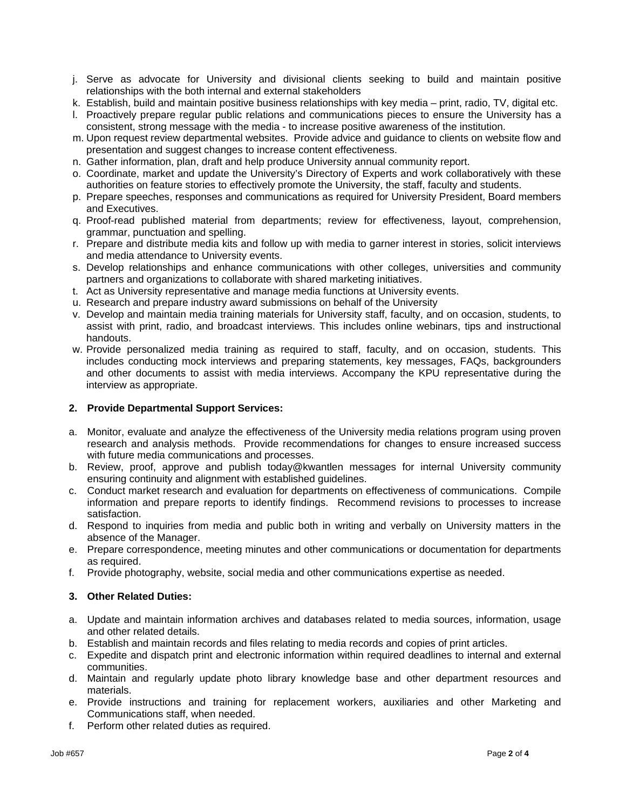- j. Serve as advocate for University and divisional clients seeking to build and maintain positive relationships with the both internal and external stakeholders
- k. Establish, build and maintain positive business relationships with key media print, radio, TV, digital etc.
- l. Proactively prepare regular public relations and communications pieces to ensure the University has a consistent, strong message with the media - to increase positive awareness of the institution.
- m. Upon request review departmental websites. Provide advice and guidance to clients on website flow and presentation and suggest changes to increase content effectiveness.
- n. Gather information, plan, draft and help produce University annual community report.
- o. Coordinate, market and update the University's Directory of Experts and work collaboratively with these authorities on feature stories to effectively promote the University, the staff, faculty and students.
- p. Prepare speeches, responses and communications as required for University President, Board members and Executives.
- q. Proof-read published material from departments; review for effectiveness, layout, comprehension, grammar, punctuation and spelling.
- r. Prepare and distribute media kits and follow up with media to garner interest in stories, solicit interviews and media attendance to University events.
- s. Develop relationships and enhance communications with other colleges, universities and community partners and organizations to collaborate with shared marketing initiatives.
- t. Act as University representative and manage media functions at University events.
- u. Research and prepare industry award submissions on behalf of the University
- v. Develop and maintain media training materials for University staff, faculty, and on occasion, students, to assist with print, radio, and broadcast interviews. This includes online webinars, tips and instructional handouts.
- w. Provide personalized media training as required to staff, faculty, and on occasion, students. This includes conducting mock interviews and preparing statements, key messages, FAQs, backgrounders and other documents to assist with media interviews. Accompany the KPU representative during the interview as appropriate.

#### **2. Provide Departmental Support Services:**

- a. Monitor, evaluate and analyze the effectiveness of the University media relations program using proven research and analysis methods. Provide recommendations for changes to ensure increased success with future media communications and processes.
- b. Review, proof, approve and publish today@kwantlen messages for internal University community ensuring continuity and alignment with established guidelines.
- c. Conduct market research and evaluation for departments on effectiveness of communications. Compile information and prepare reports to identify findings. Recommend revisions to processes to increase satisfaction.
- d. Respond to inquiries from media and public both in writing and verbally on University matters in the absence of the Manager.
- e. Prepare correspondence, meeting minutes and other communications or documentation for departments as required.
- f. Provide photography, website, social media and other communications expertise as needed.

## **3. Other Related Duties:**

- a. Update and maintain information archives and databases related to media sources, information, usage and other related details.
- b. Establish and maintain records and files relating to media records and copies of print articles.
- c. Expedite and dispatch print and electronic information within required deadlines to internal and external communities.
- d. Maintain and regularly update photo library knowledge base and other department resources and materials.
- e. Provide instructions and training for replacement workers, auxiliaries and other Marketing and Communications staff, when needed.
- f. Perform other related duties as required.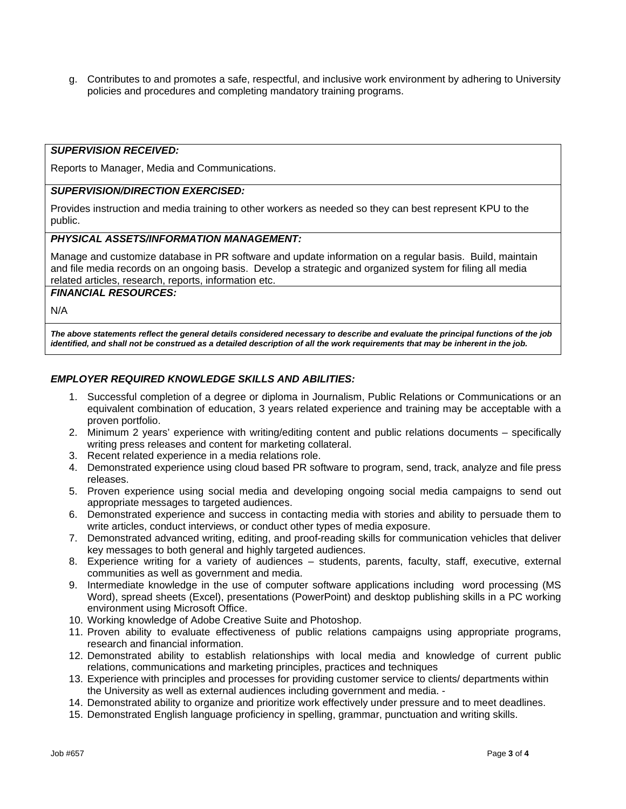g. Contributes to and promotes a safe, respectful, and inclusive work environment by adhering to University policies and procedures and completing mandatory training programs.

## *SUPERVISION RECEIVED:*

Reports to Manager, Media and Communications.

# *SUPERVISION/DIRECTION EXERCISED:*

Provides instruction and media training to other workers as needed so they can best represent KPU to the public.

## *PHYSICAL ASSETS/INFORMATION MANAGEMENT:*

Manage and customize database in PR software and update information on a regular basis. Build, maintain and file media records on an ongoing basis. Develop a strategic and organized system for filing all media related articles, research, reports, information etc.

## *FINANCIAL RESOURCES:*

N/A

*The above statements reflect the general details considered necessary to describe and evaluate the principal functions of the job*  identified, and shall not be construed as a detailed description of all the work requirements that may be inherent in the job.

# *EMPLOYER REQUIRED KNOWLEDGE SKILLS AND ABILITIES:*

- 1. Successful completion of a degree or diploma in Journalism, Public Relations or Communications or an equivalent combination of education, 3 years related experience and training may be acceptable with a proven portfolio.
- 2. Minimum 2 years' experience with writing/editing content and public relations documents specifically writing press releases and content for marketing collateral.
- 3. Recent related experience in a media relations role.
- 4. Demonstrated experience using cloud based PR software to program, send, track, analyze and file press releases.
- 5. Proven experience using social media and developing ongoing social media campaigns to send out appropriate messages to targeted audiences.
- 6. Demonstrated experience and success in contacting media with stories and ability to persuade them to write articles, conduct interviews, or conduct other types of media exposure.
- 7. Demonstrated advanced writing, editing, and proof-reading skills for communication vehicles that deliver key messages to both general and highly targeted audiences.
- 8. Experience writing for a variety of audiences students, parents, faculty, staff, executive, external communities as well as government and media.
- 9. Intermediate knowledge in the use of computer software applications including word processing (MS Word), spread sheets (Excel), presentations (PowerPoint) and desktop publishing skills in a PC working environment using Microsoft Office.
- 10. Working knowledge of Adobe Creative Suite and Photoshop.
- 11. Proven ability to evaluate effectiveness of public relations campaigns using appropriate programs, research and financial information.
- 12. Demonstrated ability to establish relationships with local media and knowledge of current public relations, communications and marketing principles, practices and techniques
- 13. Experience with principles and processes for providing customer service to clients/ departments within the University as well as external audiences including government and media. -
- 14. Demonstrated ability to organize and prioritize work effectively under pressure and to meet deadlines.
- 15. Demonstrated English language proficiency in spelling, grammar, punctuation and writing skills.